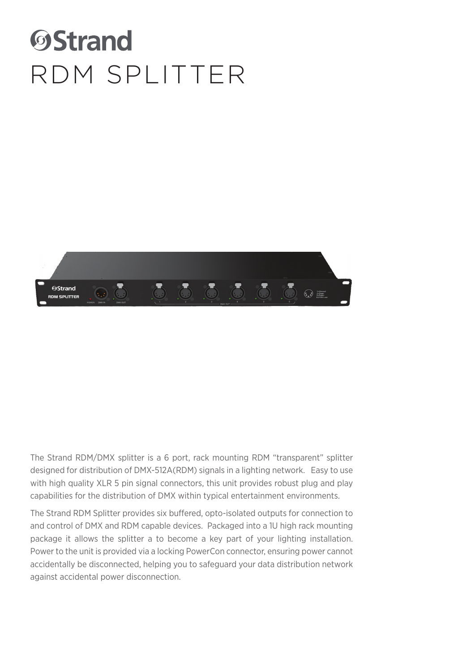# **OStrand** RDM SPLITTER



The Strand RDM/DMX splitter is a 6 port, rack mounting RDM "transparent" splitter designed for distribution of DMX-512A(RDM) signals in a lighting network. Easy to use with high quality XLR 5 pin signal connectors, this unit provides robust plug and play capabilities for the distribution of DMX within typical entertainment environments.

The Strand RDM Splitter provides six buffered, opto-isolated outputs for connection to and control of DMX and RDM capable devices. Packaged into a 1U high rack mounting package it allows the splitter a to become a key part of your lighting installation. Power to the unit is provided via a locking PowerCon connector, ensuring power cannot accidentally be disconnected, helping you to safeguard your data distribution network against accidental power disconnection.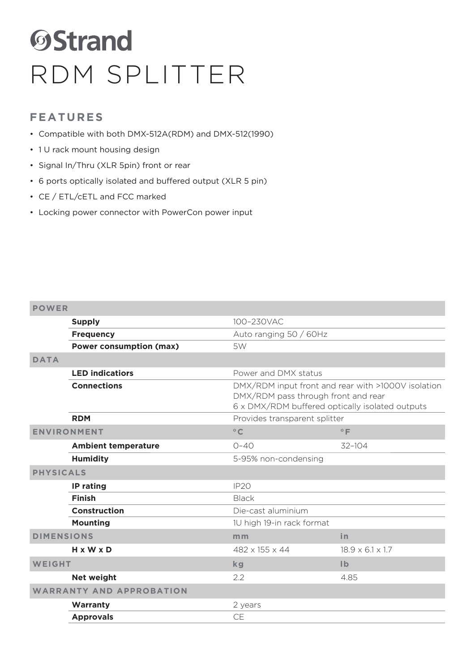# **OStrand** RDM SPLITTER

### **FEATURES**

- Compatible with both DMX-512A(RDM) and DMX-512(1990)
- 1 U rack mount housing design
- Signal In/Thru (XLR 5pin) front or rear
- 6 ports optically isolated and buffered output (XLR 5 pin)
- CE / ETL/cETL and FCC marked
- Locking power connector with PowerCon power input

### **POWER**

|                        | <b>Supply</b><br>100-230VAC     |                                                                                                                                              |                              |
|------------------------|---------------------------------|----------------------------------------------------------------------------------------------------------------------------------------------|------------------------------|
|                        | <b>Frequency</b>                | Auto ranging 50 / 60Hz                                                                                                                       |                              |
|                        | <b>Power consumption (max)</b>  | 5W                                                                                                                                           |                              |
| <b>DATA</b>            |                                 |                                                                                                                                              |                              |
| <b>LED indicatiors</b> |                                 | Power and DMX status                                                                                                                         |                              |
| <b>Connections</b>     |                                 | DMX/RDM input front and rear with >1000V isolation<br>DMX/RDM pass through front and rear<br>6 x DMX/RDM buffered optically isolated outputs |                              |
|                        | <b>RDM</b>                      | Provides transparent splitter                                                                                                                |                              |
| <b>ENVIRONMENT</b>     |                                 | $\circ$ C                                                                                                                                    | $^{\circ}$ F                 |
|                        | <b>Ambient temperature</b>      | $O - 4O$                                                                                                                                     | 32-104                       |
|                        | <b>Humidity</b>                 | 5-95% non-condensing                                                                                                                         |                              |
| <b>PHYSICALS</b>       |                                 |                                                                                                                                              |                              |
|                        | IP rating                       | IP <sub>20</sub>                                                                                                                             |                              |
|                        | <b>Finish</b>                   | <b>Black</b>                                                                                                                                 |                              |
| <b>Construction</b>    |                                 | Die-cast aluminium                                                                                                                           |                              |
|                        | <b>Mounting</b>                 | 1U high 19-in rack format                                                                                                                    |                              |
| <b>DIMENSIONS</b>      |                                 | m <sub>m</sub>                                                                                                                               | in                           |
|                        | $H \times W \times D$           | 482 x 155 x 44                                                                                                                               | $18.9 \times 6.1 \times 1.7$ |
| <b>WEIGHT</b>          |                                 | <b>kg</b>                                                                                                                                    | $\mathsf{I} \mathsf{b}$      |
|                        | <b>Net weight</b>               | 2.2                                                                                                                                          | 4.85                         |
|                        | <b>WARRANTY AND APPROBATION</b> |                                                                                                                                              |                              |
|                        | Warranty                        | 2 years                                                                                                                                      |                              |
|                        | <b>Approvals</b>                | <b>CE</b>                                                                                                                                    |                              |